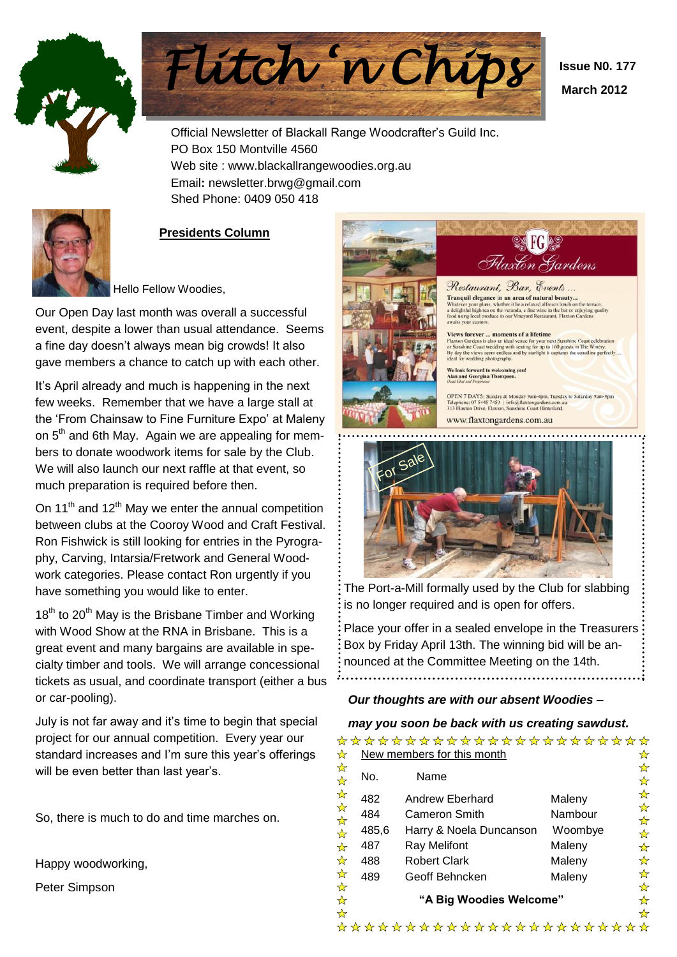



 **Issue N0. 177 March 2012**

Official Newsletter of Blackall Range Woodcrafter's Guild Inc. PO Box 150 Montville 4560 Web site : www.blackallrangewoodies.org.au Email**:** newsletter.brwg@gmail.com Shed Phone: 0409 050 418



# **Presidents Column**

Hello Fellow Woodies,

Our Open Day last month was overall a successful event, despite a lower than usual attendance. Seems a fine day doesn't always mean big crowds! It also gave members a chance to catch up with each other.

It's April already and much is happening in the next few weeks. Remember that we have a large stall at the 'From Chainsaw to Fine Furniture Expo' at Maleny on 5<sup>th</sup> and 6th May. Again we are appealing for members to donate woodwork items for sale by the Club. We will also launch our next raffle at that event, so much preparation is required before then.

On 11<sup>th</sup> and 12<sup>th</sup> May we enter the annual competition between clubs at the Cooroy Wood and Craft Festival. Ron Fishwick is still looking for entries in the Pyrography, Carving, Intarsia/Fretwork and General Woodwork categories. Please contact Ron urgently if you have something you would like to enter.

 $18<sup>th</sup>$  to 20<sup>th</sup> May is the Brisbane Timber and Working with Wood Show at the RNA in Brisbane. This is a great event and many bargains are available in specialty timber and tools. We will arrange concessional tickets as usual, and coordinate transport (either a bus or car-pooling).

July is not far away and it's time to begin that special project for our annual competition. Every year our standard increases and I'm sure this year's offerings will be even better than last year's.

So, there is much to do and time marches on.

Happy woodworking,

Peter Simpson





The Port-a-Mill formally used by the Club for slabbing is no longer required and is open for offers.

Place your offer in a sealed envelope in the Treasurers Box by Friday April 13th. The winning bid will be announced at the Committee Meeting on the 14th. 

## *Our thoughts are with our absent Woodies –*

### *may you soon be back with us creating sawdust.*

|                                   |                         |                            | ☆                       |  |  |  |  |  |
|-----------------------------------|-------------------------|----------------------------|-------------------------|--|--|--|--|--|
| No.                               | Name                    |                            | ☆<br>☆                  |  |  |  |  |  |
| 482                               | Andrew Eberhard         | Maleny                     | ☆                       |  |  |  |  |  |
| 484                               | <b>Cameron Smith</b>    | Nambour                    | ☆<br>☆                  |  |  |  |  |  |
| 485,6                             | Harry & Noela Duncanson | Woombye                    | ☆                       |  |  |  |  |  |
| 487                               | <b>Ray Melifont</b>     | Maleny                     | ☆                       |  |  |  |  |  |
| 488                               | <b>Robert Clark</b>     | Maleny                     | ☆                       |  |  |  |  |  |
| 489                               | Geoff Behncken          | Maleny                     | ☆<br>☆                  |  |  |  |  |  |
| ☆<br>"A Big Woodies Welcome"<br>☆ |                         |                            |                         |  |  |  |  |  |
|                                   |                         | New members for this month | *********************** |  |  |  |  |  |

\*\*\*\*\*\*\*\*\*\*\*\*\*\*\*\*\*\*\*\*\*\*\*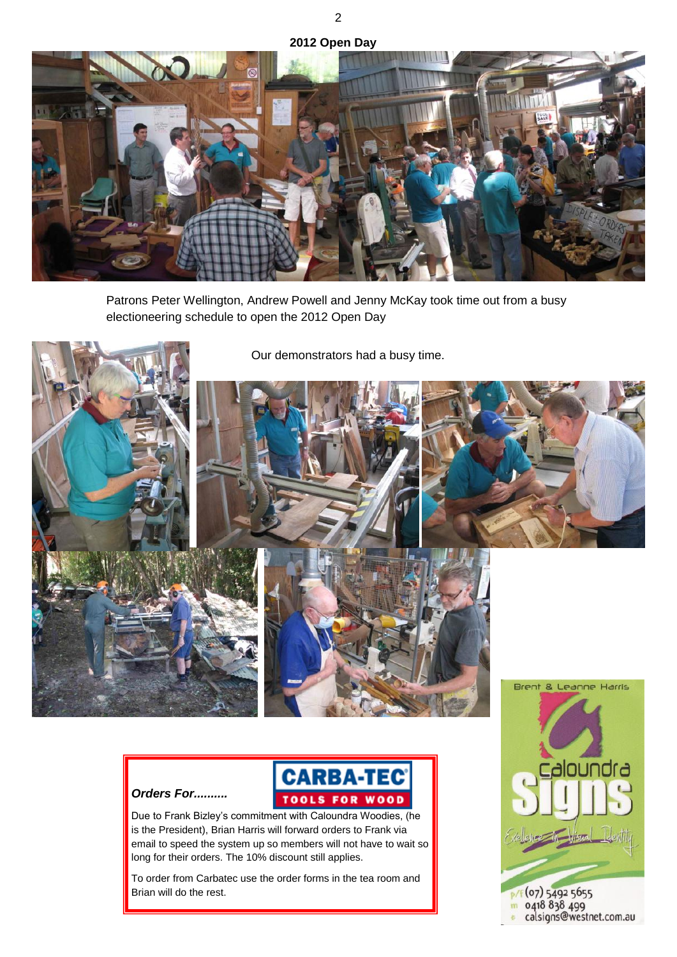**2012 Open Day**



Patrons Peter Wellington, Andrew Powell and Jenny McKay took time out from a busy electioneering schedule to open the 2012 Open Day





Due to Frank Bizley's commitment with Caloundra Woodies, (he is the President), Brian Harris will forward orders to Frank via email to speed the system up so members will not have to wait so long for their orders. The 10% discount still applies.

*Orders For..........*

To order from Carbatec use the order forms in the tea room and Brian will do the rest.

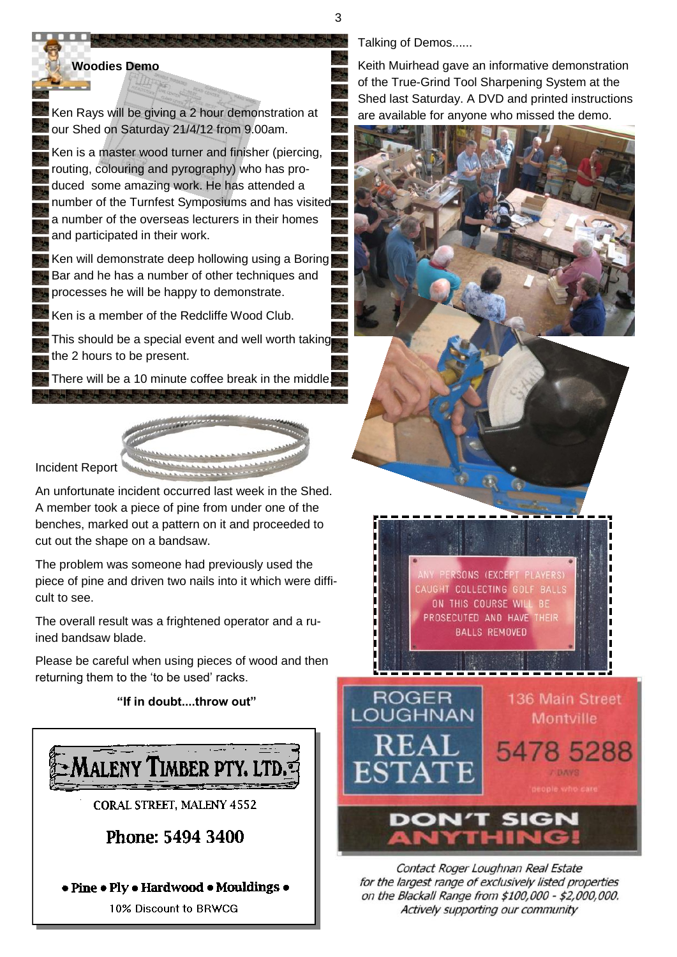3

### **Woodies Demo**

فأستن

Ken Rays will be giving a 2 hour demonstration at our Shed on Saturday 21/4/12 from 9.00am.

Ken is a master wood turner and finisher (piercing, routing, colouring and pyrography) who has produced some amazing work. He has attended a number of the Turnfest Symposiums and has visited a number of the overseas lecturers in their homes and participated in their work.

Ken will demonstrate deep hollowing using a Boring Bar and he has a number of other techniques and processes he will be happy to demonstrate.

Ken is a member of the Redcliffe Wood Club.

This should be a special event and well worth taking the 2 hours to be present.

There will be a 10 minute coffee break in the middle.

Incident Report

An unfortunate incident occurred last week in the Shed. A member took a piece of pine from under one of the benches, marked out a pattern on it and proceeded to cut out the shape on a bandsaw.

The problem was someone had previously used the piece of pine and driven two nails into it which were difficult to see.

The overall result was a frightened operator and a ruined bandsaw blade.

Please be careful when using pieces of wood and then returning them to the 'to be used' racks.

### **"If in doubt....throw out"**



10% Discount to BRWCG

Talking of Demos......

Keith Muirhead gave an informative demonstration of the True-Grind Tool Sharpening System at the Shed last Saturday. A DVD and printed instructions are available for anyone who missed the demo.



Contact Roger Loughnan Real Estate for the largest range of exclusively listed properties on the Blackall Range from \$100,000 - \$2,000,000. Actively supporting our community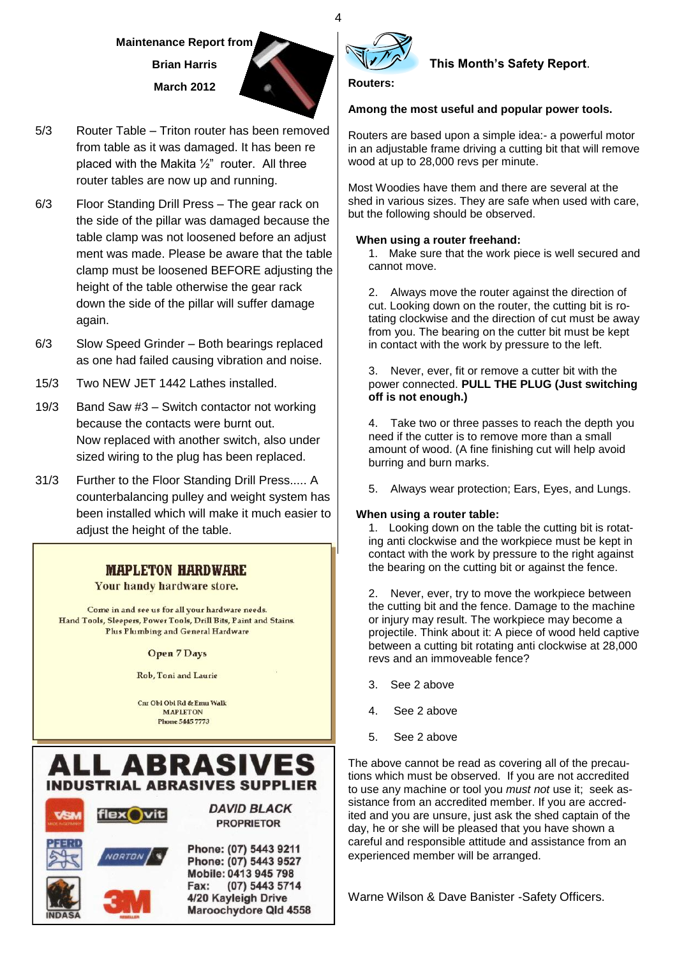# **Maintenance Report from Brian Harris March 2012**



- 5/3 Router Table Triton router has been removed from table as it was damaged. It has been re placed with the Makita ½" router. All three router tables are now up and running.
- 6/3 Floor Standing Drill Press The gear rack on the side of the pillar was damaged because the table clamp was not loosened before an adjust ment was made. Please be aware that the table clamp must be loosened BEFORE adjusting the height of the table otherwise the gear rack down the side of the pillar will suffer damage again.
- 6/3 Slow Speed Grinder Both bearings replaced as one had failed causing vibration and noise.
- 15/3 Two NEW JET 1442 Lathes installed.
- 19/3 Band Saw #3 Switch contactor not working because the contacts were burnt out. Now replaced with another switch, also under sized wiring to the plug has been replaced.
- 31/3 Further to the Floor Standing Drill Press..... A counterbalancing pulley and weight system has been installed which will make it much easier to adjust the height of the table.

# **MAPLETON HARDWARE**

Your handy hardware store.

Come in and see us for all your hardware needs. Hand Tools, Sleepers, Power Tools, Drill Bits, Paint and Stains. **Plus Plumbing and General Hardware** 

#### **Open 7 Days**

Rob, Toni and Laurie

Cnr Obi Obi Rd & Emu Walk **MAPLETON Phone 5445 7773** 





# **This Month's Safety Report**.

**Routers:** 

## **Among the most useful and popular power tools.**

Routers are based upon a simple idea:- a powerful motor in an adjustable frame driving a cutting bit that will remove wood at up to 28,000 revs per minute.

Most Woodies have them and there are several at the shed in various sizes. They are safe when used with care, but the following should be observed.

### **When using a router freehand:**

1. Make sure that the work piece is well secured and cannot move.

2. Always move the router against the direction of cut. Looking down on the router, the cutting bit is rotating clockwise and the direction of cut must be away from you. The bearing on the cutter bit must be kept in contact with the work by pressure to the left.

3. Never, ever, fit or remove a cutter bit with the power connected. **PULL THE PLUG (Just switching off is not enough.)**

4. Take two or three passes to reach the depth you need if the cutter is to remove more than a small amount of wood. (A fine finishing cut will help avoid burring and burn marks.

5. Always wear protection; Ears, Eyes, and Lungs.

## **When using a router table:**

1. Looking down on the table the cutting bit is rotating anti clockwise and the workpiece must be kept in contact with the work by pressure to the right against the bearing on the cutting bit or against the fence.

2. Never, ever, try to move the workpiece between the cutting bit and the fence. Damage to the machine or injury may result. The workpiece may become a projectile. Think about it: A piece of wood held captive between a cutting bit rotating anti clockwise at 28,000 revs and an immoveable fence?

- 3. See 2 above
- 4. See 2 above
- 5. See 2 above

The above cannot be read as covering all of the precautions which must be observed. If you are not accredited to use any machine or tool you *must not* use it; seek assistance from an accredited member. If you are accredited and you are unsure, just ask the shed captain of the day, he or she will be pleased that you have shown a careful and responsible attitude and assistance from an experienced member will be arranged.

Warne Wilson & Dave Banister -Safety Officers.

4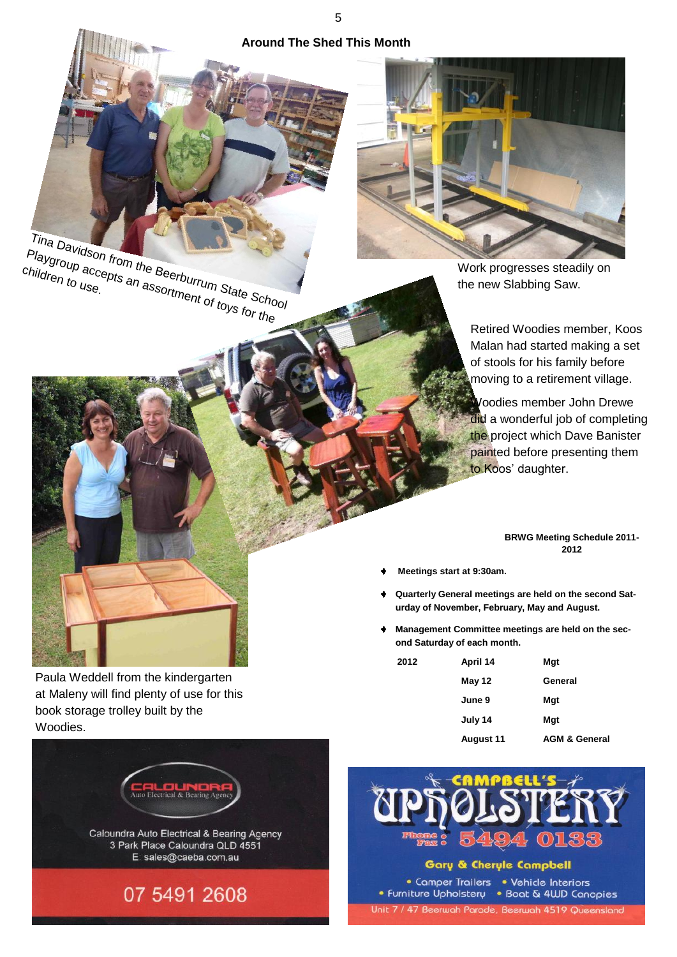**Around The Shed This Month**





Work progresses steadily on the new Slabbing Saw.

> Retired Woodies member, Koos Malan had started making a set of stools for his family before moving to a retirement village.

Woodies member John Drewe did a wonderful job of completing the project which Dave Banister painted before presenting them to Koos' daughter.

#### **BRWG Meeting Schedule 2011- 2012**

- **Meetings start at 9:30am.**
- **Quarterly General meetings are held on the second Saturday of November, February, May and August.**
- **Management Committee meetings are held on the second Saturday of each month.**

| 2012 | April 14         | Mgt                      |
|------|------------------|--------------------------|
|      | May 12           | General                  |
|      | June 9           | Mgt                      |
|      | July 14          | Mgt                      |
|      | <b>August 11</b> | <b>AGM &amp; General</b> |



Paula Weddell from the kindergarten at Maleny will find plenty of use for this

book storage trolley built by the

Woodies.



Gary & Cheryle Campbell

• Comper Trailers • Vehicle Interiors • Furniture Upholstery • Boat & 4UD Canopies Unit 7 / 47 Beerwah Parade, Beerwah 4519 Queensland

5